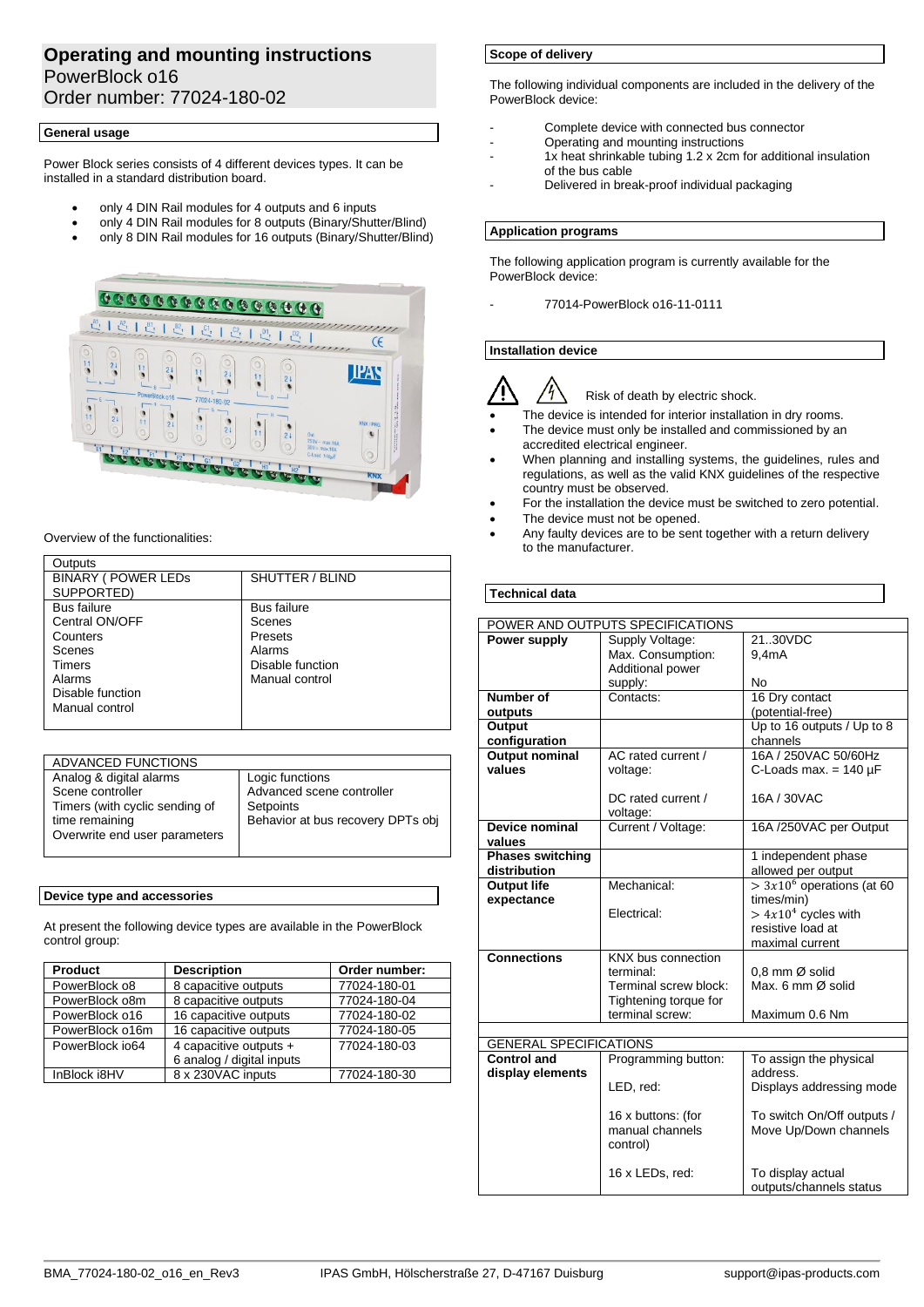# **Operating and mounting instructions** PowerBlock o16 Order number: 77024-180-02

## **General usage**

Power Block series consists of 4 different devices types. It can be installed in a standard distribution board.

- only 4 DIN Rail modules for 4 outputs and 6 inputs
- only 4 DIN Rail modules for 8 outputs (Binary/Shutter/Blind)
- only 8 DIN Rail modules for 16 outputs (Binary/Shutter/Blind)



Overview of the functionalities:

| Outputs                    |                    |
|----------------------------|--------------------|
| <b>BINARY ( POWER LEDS</b> | SHUTTER / BLIND    |
| SUPPORTED)                 |                    |
| <b>Bus failure</b>         | <b>Bus failure</b> |
| Central ON/OFF             | Scenes             |
| Counters                   | Presets            |
| Scenes                     | Alarms             |
| Timers                     | Disable function   |
| Alarms                     | Manual control     |
| Disable function           |                    |
| Manual control             |                    |
|                            |                    |

| <b>ADVANCED FUNCTIONS</b>      |                                   |
|--------------------------------|-----------------------------------|
| Analog & digital alarms        | Logic functions                   |
| Scene controller               | Advanced scene controller         |
| Timers (with cyclic sending of | Setpoints                         |
| time remaining                 | Behavior at bus recovery DPTs obj |
| Overwrite end user parameters  |                                   |
|                                |                                   |

## **Device type and accessories**

At present the following device types are available in the PowerBlock control group:

| <b>Product</b>  | <b>Description</b>                                  | Order number: |
|-----------------|-----------------------------------------------------|---------------|
| PowerBlock o8   | 8 capacitive outputs                                | 77024-180-01  |
| PowerBlock o8m  | 8 capacitive outputs                                | 77024-180-04  |
| PowerBlock o16  | 16 capacitive outputs                               | 77024-180-02  |
| PowerBlock o16m | 16 capacitive outputs                               | 77024-180-05  |
| PowerBlock io64 | 4 capacitive outputs +<br>6 analog / digital inputs | 77024-180-03  |
| InBlock i8HV    | 8 x 230VAC inputs                                   | 77024-180-30  |

## **Scope of delivery**

The following individual components are included in the delivery of the PowerBlock device:

- Complete device with connected bus connector
- Operating and mounting instructions
- 1x heat shrinkable tubing 1.2 x 2cm for additional insulation of the bus cable
- Delivered in break-proof individual packaging

## **Application programs**

The following application program is currently available for the PowerBlock device:

- 77014-PowerBlock o16-11-0111

## **Installation device**





- The device is intended for interior installation in dry rooms.
- The device must only be installed and commissioned by an accredited electrical engineer.
- When planning and installing systems, the guidelines, rules and regulations, as well as the valid KNX guidelines of the respective country must be observed.
- For the installation the device must be switched to zero potential.
- The device must not be opened.
- Any faulty devices are to be sent together with a return delivery to the manufacturer.

## **Technical data**

| POWER AND OUTPUTS SPECIFICATIONS |                       |                             |
|----------------------------------|-----------------------|-----------------------------|
| Power supply                     | Supply Voltage:       | 2130VDC                     |
|                                  | Max. Consumption:     | 9,4mA                       |
|                                  | Additional power      |                             |
|                                  | supply:               | <b>No</b>                   |
| Number of                        | Contacts:             | 16 Dry contact              |
| outputs                          |                       | (potential-free)            |
| Output                           |                       | Up to 16 outputs / Up to 8  |
| configuration                    |                       | channels                    |
| <b>Output nominal</b>            | AC rated current /    | 16A / 250VAC 50/60Hz        |
| values                           | voltage:              | C-Loads max. = $140 \mu F$  |
|                                  |                       |                             |
|                                  | DC rated current /    | 16A / 30VAC                 |
|                                  | voltage:              |                             |
| Device nominal                   | Current / Voltage:    | 16A /250VAC per Output      |
| values                           |                       |                             |
| <b>Phases switching</b>          |                       | 1 independent phase         |
| distribution                     |                       | allowed per output          |
| <b>Output life</b>               | Mechanical:           | $> 3x106$ operations (at 60 |
| expectance                       |                       | times/min)                  |
|                                  | Electrical:           | $> 4x104$ cycles with       |
|                                  |                       | resistive load at           |
|                                  |                       | maximal current             |
| <b>Connections</b>               | KNX bus connection    |                             |
|                                  | terminal:             | 0.8 mm Ø solid              |
|                                  | Terminal screw block: | Max. 6 mm Ø solid           |
|                                  | Tightening torque for |                             |
|                                  | terminal screw:       | Maximum 0.6 Nm              |
|                                  |                       |                             |
| <b>GENERAL SPECIFICATIONS</b>    |                       |                             |
| <b>Control and</b>               | Programming button:   | To assign the physical      |
| display elements                 |                       | address.                    |
|                                  | LED, red:             | Displays addressing mode    |
|                                  |                       |                             |
|                                  | 16 x buttons: (for    | To switch On/Off outputs /  |
|                                  | manual channels       | Move Up/Down channels       |
|                                  | control)              |                             |
|                                  |                       |                             |
|                                  | 16 x LEDs, red:       | To display actual           |
|                                  |                       | outputs/channels status     |
|                                  |                       |                             |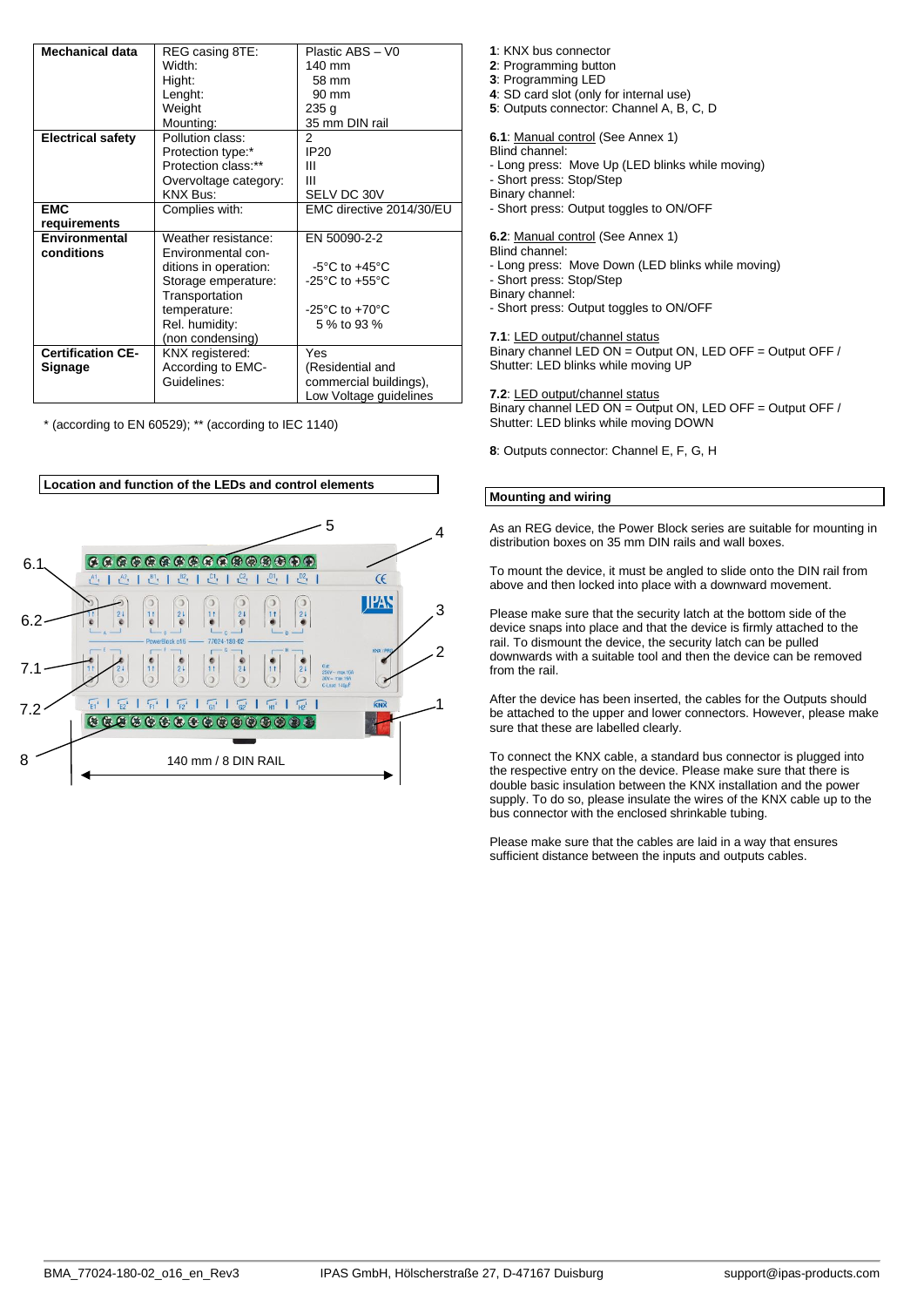| <b>Mechanical data</b>   | REG casing 8TE:       | Plastic ABS - V0                     |
|--------------------------|-----------------------|--------------------------------------|
|                          | Width:                | 140 mm                               |
|                          | Hight:                | 58 mm                                |
|                          | Lenght:               | 90 mm                                |
|                          | Weight                | 235 g                                |
|                          | Mounting:             | 35 mm DIN rail                       |
| <b>Electrical safety</b> | Pollution class:      | 2                                    |
|                          | Protection type:*     | <b>IP20</b>                          |
|                          | Protection class:**   | Ш                                    |
|                          | Overvoltage category: | Ш                                    |
|                          | KNX Bus:              | SELV DC 30V                          |
| <b>EMC</b>               | Complies with:        | EMC directive 2014/30/EU             |
| requirements             |                       |                                      |
| Environmental            | Weather resistance:   | EN 50090-2-2                         |
| conditions               | Environmental con-    |                                      |
|                          | ditions in operation: | $-5^{\circ}$ C to $+45^{\circ}$ C    |
|                          | Storage emperature:   | -25 $^{\circ}$ C to +55 $^{\circ}$ C |
|                          | Transportation        |                                      |
|                          | temperature:          | -25 $^{\circ}$ C to +70 $^{\circ}$ C |
|                          | Rel. humidity:        | 5 % to 93 %                          |
|                          | (non condensing)      |                                      |
| <b>Certification CE-</b> | KNX registered:       | Yes                                  |
| Signage                  | According to EMC-     | (Residential and                     |
|                          | Guidelines:           | commercial buildings),               |
|                          |                       | Low Voltage guidelines               |

\* (according to EN 60529); \*\* (according to IEC 1140)



- **1**: KNX bus connector
- **2**: Programming button
- **3**: Programming LED
- **4**: SD card slot (only for internal use)
- **5**: Outputs connector: Channel A, B, C, D

**6.1**: Manual control (See Annex 1)

Blind channel:

- Long press: Move Up (LED blinks while moving)

- Short press: Stop/Step

- Binary channel:
- Short press: Output toggles to ON/OFF

**6.2**: Manual control (See Annex 1)

Blind channel:

- Long press: Move Down (LED blinks while moving)

- Short press: Stop/Step

Binary channel:

- Short press: Output toggles to ON/OFF

**7.1**: LED output/channel status

Binary channel LED ON = Output ON, LED OFF = Output OFF / Shutter: LED blinks while moving UP

**7.2**: LED output/channel status

Binary channel LED ON = Output ON, LED OFF = Output OFF / Shutter: LED blinks while moving DOWN

**8**: Outputs connector: Channel E, F, G, H

## **Mounting and wiring**

As an REG device, the Power Block series are suitable for mounting in distribution boxes on 35 mm DIN rails and wall boxes.

To mount the device, it must be angled to slide onto the DIN rail from above and then locked into place with a downward movement.

Please make sure that the security latch at the bottom side of the device snaps into place and that the device is firmly attached to the rail. To dismount the device, the security latch can be pulled downwards with a suitable tool and then the device can be removed from the rail.

After the device has been inserted, the cables for the Outputs should be attached to the upper and lower connectors. However, please make sure that these are labelled clearly.

To connect the KNX cable, a standard bus connector is plugged into the respective entry on the device. Please make sure that there is double basic insulation between the KNX installation and the power supply. To do so, please insulate the wires of the KNX cable up to the bus connector with the enclosed shrinkable tubing.

Please make sure that the cables are laid in a way that ensures sufficient distance between the inputs and outputs cables.